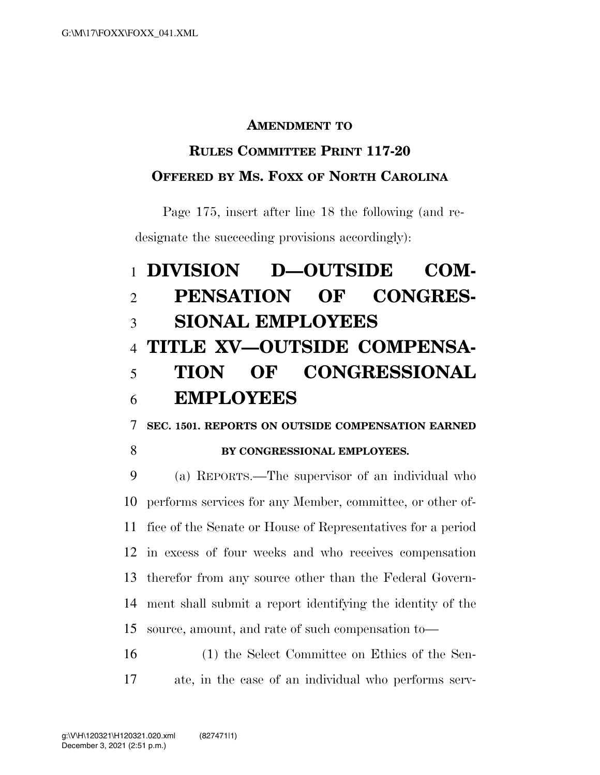## **AMENDMENT TO**

# **RULES COMMITTEE PRINT 117-20 OFFERED BY MS. FOXX OF NORTH CAROLINA**

Page 175, insert after line 18 the following (and redesignate the succeeding provisions accordingly):

# **DIVISION D—OUTSIDE COM- PENSATION OF CONGRES- SIONAL EMPLOYEES TITLE XV—OUTSIDE COMPENSA- TION OF CONGRESSIONAL EMPLOYEES**

**SEC. 1501. REPORTS ON OUTSIDE COMPENSATION EARNED** 

#### **BY CONGRESSIONAL EMPLOYEES.**

 (a) REPORTS.—The supervisor of an individual who performs services for any Member, committee, or other of- fice of the Senate or House of Representatives for a period in excess of four weeks and who receives compensation therefor from any source other than the Federal Govern- ment shall submit a report identifying the identity of the source, amount, and rate of such compensation to—

 (1) the Select Committee on Ethics of the Sen-ate, in the case of an individual who performs serv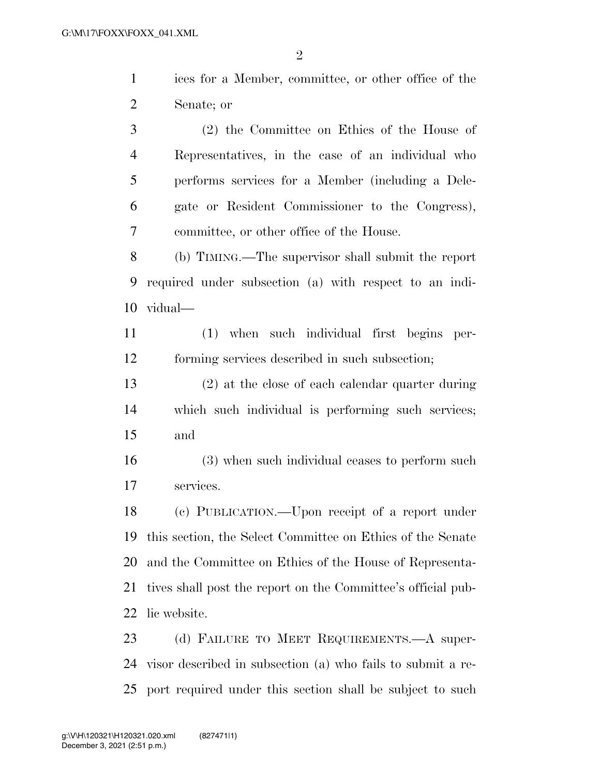ices for a Member, committee, or other office of the Senate; or

 (2) the Committee on Ethics of the House of Representatives, in the case of an individual who performs services for a Member (including a Dele- gate or Resident Commissioner to the Congress), committee, or other office of the House.

 (b) TIMING.—The supervisor shall submit the report required under subsection (a) with respect to an indi-vidual—

 (1) when such individual first begins per-forming services described in such subsection;

 (2) at the close of each calendar quarter during which such individual is performing such services; and

 (3) when such individual ceases to perform such services.

 (c) PUBLICATION.—Upon receipt of a report under this section, the Select Committee on Ethics of the Senate and the Committee on Ethics of the House of Representa- tives shall post the report on the Committee's official pub-lic website.

23 (d) FAILURE TO MEET REQUIREMENTS.—A super- visor described in subsection (a) who fails to submit a re-port required under this section shall be subject to such